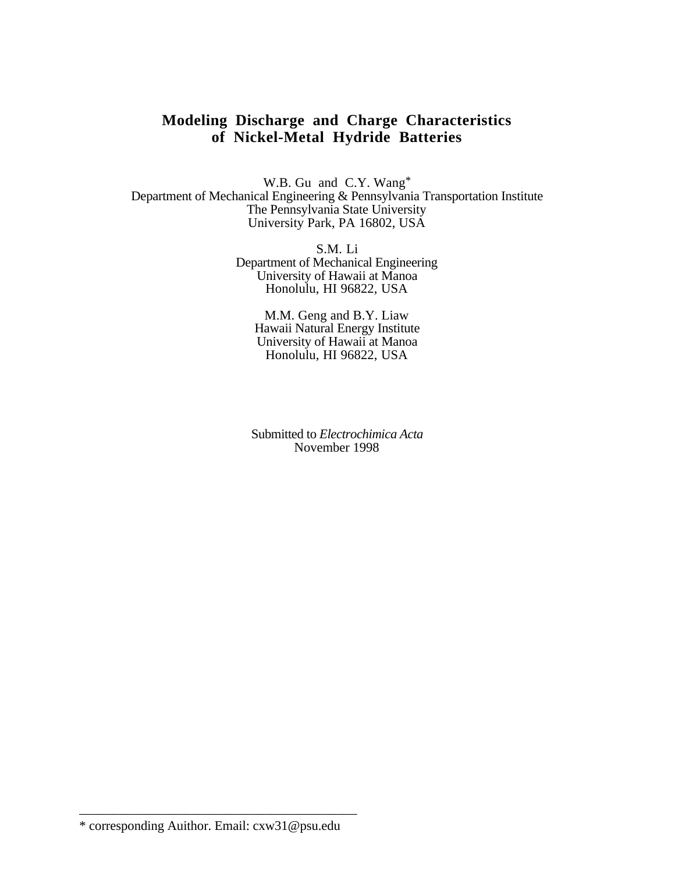# **Modeling Discharge and Charge Characteristics of Nickel-Metal Hydride Batteries**

W.B. Gu and C.Y. Wang\* Department of Mechanical Engineering & Pennsylvania Transportation Institute The Pennsylvania State University University Park, PA 16802, USA

> S.M. Li Department of Mechanical Engineering University of Hawaii at Manoa Honolulu, HI 96822, USA

M.M. Geng and B.Y. Liaw Hawaii Natural Energy Institute University of Hawaii at Manoa Honolulu, HI 96822, USA

Submitted to *Electrochimica Acta* November 1998

\_\_\_\_\_\_\_\_\_\_\_\_\_\_\_\_\_\_\_\_\_\_\_\_\_\_\_\_\_\_\_\_\_\_\_\_\_\_\_\_\_\_

<sup>\*</sup> corresponding Auithor. Email: cxw31@psu.edu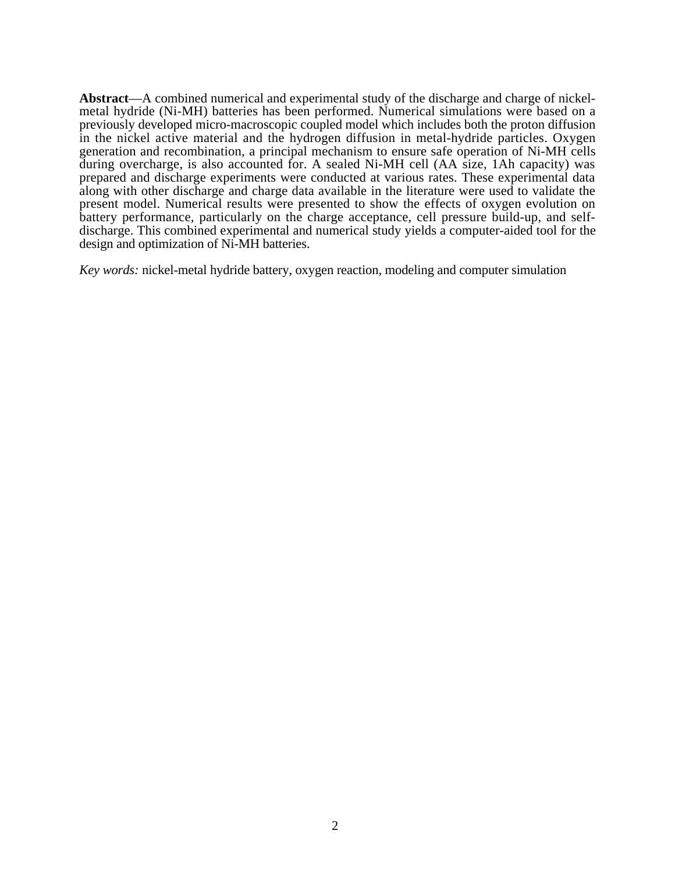**Abstract**—A combined numerical and experimental study of the discharge and charge of nickelmetal hydride (Ni-MH) batteries has been performed. Numerical simulations were based on a previously developed micro-macroscopic coupled model which includes both the proton diffusion in the nickel active material and the hydrogen diffusion in metal-hydride particles. Oxygen generation and recombination, a principal mechanism to ensure safe operation of Ni-MH cells during overcharge, is also accounted for. A sealed Ni-MH cell (AA size, 1Ah capacity) was prepared and discharge experiments were conducted at various rates. These experimental data along with other discharge and charge data available in the literature were used to validate the present model. Numerical results were presented to show the effects of oxygen evolution on battery performance, particularly on the charge acceptance, cell pressure build-up, and selfdischarge. This combined experimental and numerical study yields a computer-aided tool for the design and optimization of Ni-MH batteries.

*Key words:* nickel-metal hydride battery, oxygen reaction, modeling and computer simulation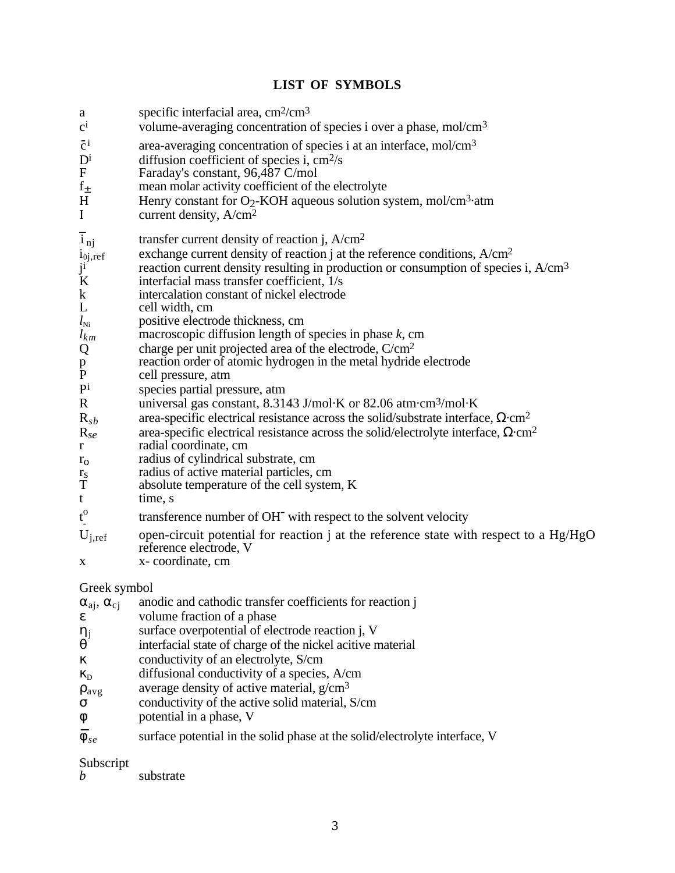# **LIST OF SYMBOLS**

# Greek symbol

| $\alpha_{ai}$ , $\alpha_{ci}$ | anodic and cathodic transfer coefficients for reaction j                   |
|-------------------------------|----------------------------------------------------------------------------|
| E                             | volume fraction of a phase                                                 |
| $\eta_j$                      | surface overpotential of electrode reaction j, V                           |
| $\theta$                      | interfacial state of charge of the nickel acitive material                 |
| $\kappa$                      | conductivity of an electrolyte, S/cm                                       |
| $\kappa_{D}$                  | diffusional conductivity of a species, A/cm                                |
| $\rho_{avg}$                  | average density of active material, g/cm <sup>3</sup>                      |
| σ                             | conductivity of the active solid material, S/cm                            |
| $\phi$                        | potential in a phase, V                                                    |
| $\overline{\phi}_{se}$        | surface potential in the solid phase at the solid/electrolyte interface, V |
|                               |                                                                            |

Subscript

*b* substrate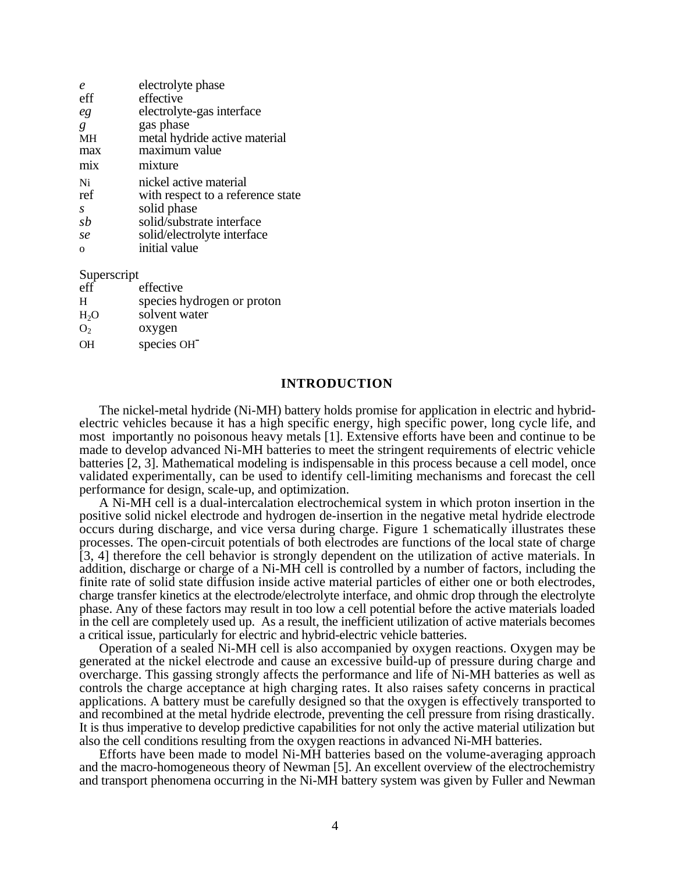| $\boldsymbol{\rho}$ | electrolyte phase                 |
|---------------------|-----------------------------------|
| eff                 | effective                         |
| eg                  | electrolyte-gas interface         |
| g                   | gas phase                         |
| <b>MH</b>           | metal hydride active material     |
| max                 | maximum value                     |
| mix                 | mixture                           |
| Ni                  | nickel active material            |
| ref                 | with respect to a reference state |
| S                   | solid phase                       |
| $s\overline{b}$     | solid/substrate interface         |
| se                  | solid/electrolyte interface       |
| $\Omega$            | initial value                     |

#### Superscript

| eff              | effective                  |
|------------------|----------------------------|
| H                | species hydrogen or proton |
| H <sub>2</sub> O | solvent water              |
| O <sub>2</sub>   | oxygen                     |
| $\overline{OH}$  | species OH <sup>-</sup>    |

## **INTRODUCTION**

The nickel-metal hydride (Ni-MH) battery holds promise for application in electric and hybridelectric vehicles because it has a high specific energy, high specific power, long cycle life, and most importantly no poisonous heavy metals [1]. Extensive efforts have been and continue to be made to develop advanced Ni-MH batteries to meet the stringent requirements of electric vehicle batteries [2, 3]. Mathematical modeling is indispensable in this process because a cell model, once validated experimentally, can be used to identify cell-limiting mechanisms and forecast the cell performance for design, scale-up, and optimization.

A Ni-MH cell is a dual-intercalation electrochemical system in which proton insertion in the positive solid nickel electrode and hydrogen de-insertion in the negative metal hydride electrode occurs during discharge, and vice versa during charge. Figure 1 schematically illustrates these processes. The open-circuit potentials of both electrodes are functions of the local state of charge [3, 4] therefore the cell behavior is strongly dependent on the utilization of active materials. In addition, discharge or charge of a Ni-MH cell is controlled by a number of factors, including the finite rate of solid state diffusion inside active material particles of either one or both electrodes, charge transfer kinetics at the electrode/electrolyte interface, and ohmic drop through the electrolyte phase. Any of these factors may result in too low a cell potential before the active materials loaded in the cell are completely used up. As a result, the inefficient utilization of active materials becomes a critical issue, particularly for electric and hybrid-electric vehicle batteries.

Operation of a sealed Ni-MH cell is also accompanied by oxygen reactions. Oxygen may be generated at the nickel electrode and cause an excessive build-up of pressure during charge and overcharge. This gassing strongly affects the performance and life of Ni-MH batteries as well as controls the charge acceptance at high charging rates. It also raises safety concerns in practical applications. A battery must be carefully designed so that the oxygen is effectively transported to and recombined at the metal hydride electrode, preventing the cell pressure from rising drastically. It is thus imperative to develop predictive capabilities for not only the active material utilization but also the cell conditions resulting from the oxygen reactions in advanced Ni-MH batteries.

Efforts have been made to model Ni-MH batteries based on the volume-averaging approach and the macro-homogeneous theory of Newman [5]. An excellent overview of the electrochemistry and transport phenomena occurring in the Ni-MH battery system was given by Fuller and Newman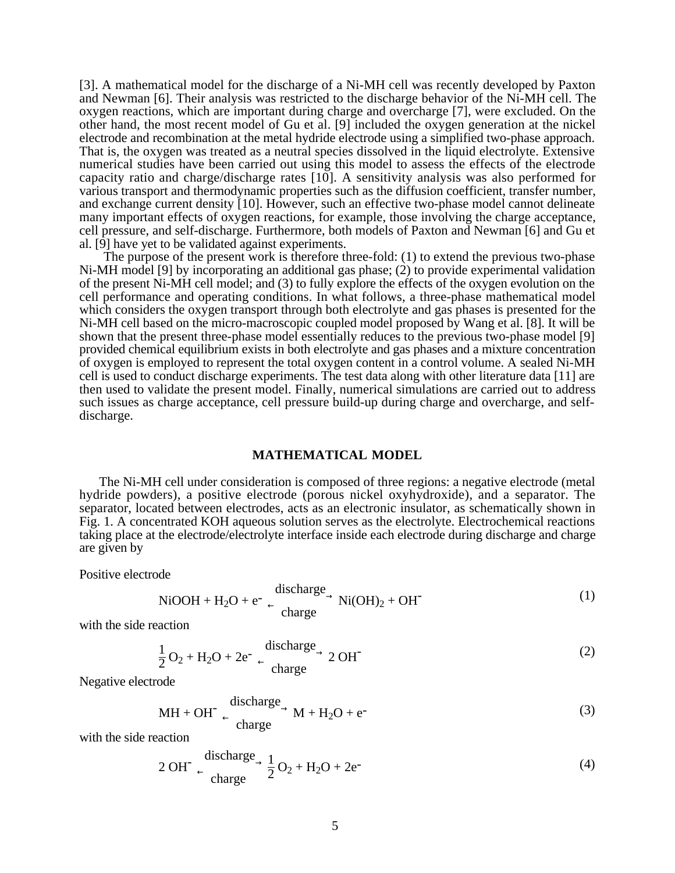[3]. A mathematical model for the discharge of a Ni-MH cell was recently developed by Paxton and Newman [6]. Their analysis was restricted to the discharge behavior of the Ni-MH cell. The oxygen reactions, which are important during charge and overcharge [7], were excluded. On the other hand, the most recent model of Gu et al. [9] included the oxygen generation at the nickel electrode and recombination at the metal hydride electrode using a simplified two-phase approach. That is, the oxygen was treated as a neutral species dissolved in the liquid electrolyte. Extensive numerical studies have been carried out using this model to assess the effects of the electrode capacity ratio and charge/discharge rates [10]. A sensitivity analysis was also performed for various transport and thermodynamic properties such as the diffusion coefficient, transfer number, and exchange current density [10]. However, such an effective two-phase model cannot delineate many important effects of oxygen reactions, for example, those involving the charge acceptance, cell pressure, and self-discharge. Furthermore, both models of Paxton and Newman [6] and Gu et al. [9] have yet to be validated against experiments.

The purpose of the present work is therefore three-fold: (1) to extend the previous two-phase Ni-MH model [9] by incorporating an additional gas phase; (2) to provide experimental validation of the present Ni-MH cell model; and (3) to fully explore the effects of the oxygen evolution on the cell performance and operating conditions. In what follows, a three-phase mathematical model which considers the oxygen transport through both electrolyte and gas phases is presented for the Ni-MH cell based on the micro-macroscopic coupled model proposed by Wang et al. [8]. It will be shown that the present three-phase model essentially reduces to the previous two-phase model [9] provided chemical equilibrium exists in both electrolyte and gas phases and a mixture concentration of oxygen is employed to represent the total oxygen content in a control volume. A sealed Ni-MH cell is used to conduct discharge experiments. The test data along with other literature data [11] are then used to validate the present model. Finally, numerical simulations are carried out to address such issues as charge acceptance, cell pressure build-up during charge and overcharge, and selfdischarge.

### **MATHEMATICAL MODEL**

The Ni-MH cell under consideration is composed of three regions: a negative electrode (metal hydride powders), a positive electrode (porous nickel oxyhydroxide), and a separator. The separator, located between electrodes, acts as an electronic insulator, as schematically shown in Fig. 1. A concentrated KOH aqueous solution serves as the electrolyte. Electrochemical reactions taking place at the electrode/electrolyte interface inside each electrode during discharge and charge are given by

Positive electrode

$$
\text{NiOOH} + \text{H}_2\text{O} + \text{e}^- \xrightarrow{\text{discharge}} \text{Ni(OH)}_2 + \text{OH}^-
$$
 (1)

with the side reaction

$$
\frac{1}{2}O_2 + H_2O + 2e^- \xrightarrow{\text{discharge}} 2 \text{ OH}^-
$$
 (2)

Negative electrode

$$
MH + OH- \xrightarrow{\text{discharge}} M + H_2O + e-
$$
 (3)

with the side reaction

$$
2 \text{ OH}^-\xrightarrow{\text{discharge}} \frac{1}{2}O_2 + H_2O + 2e^-\tag{4}
$$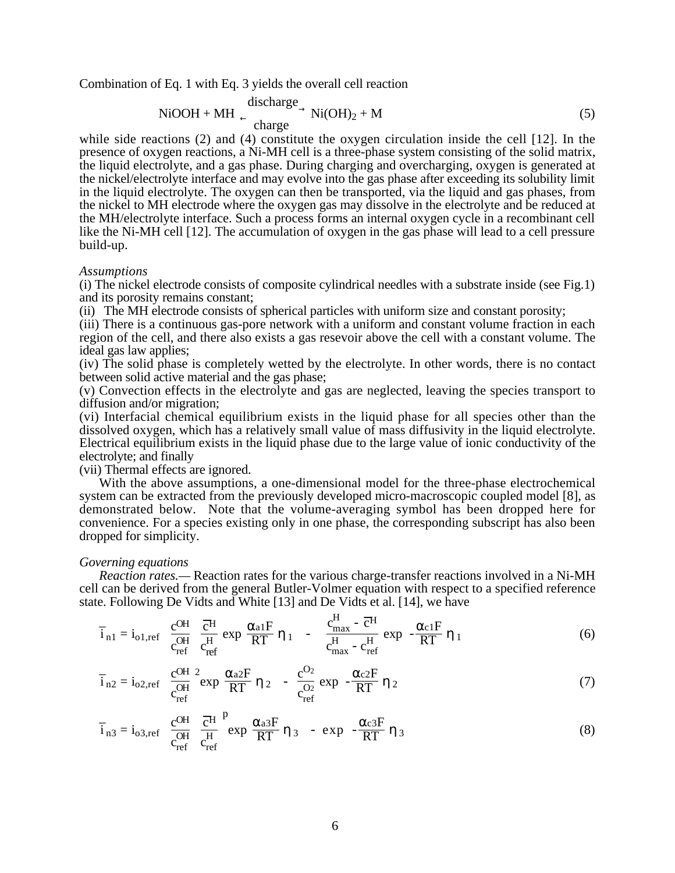Combination of Eq. 1 with Eq. 3 yields the overall cell reaction

$$
\text{NiOOH} + \text{MH} \xrightarrow{\text{discharge}} \text{Ni(OH)}_{2} + \text{M}
$$
 (5)

while side reactions (2) and (4) constitute the oxygen circulation inside the cell [12]. In the presence of oxygen reactions, a Ni-MH cell is a three-phase system consisting of the solid matrix, the liquid electrolyte, and a gas phase. During charging and overcharging, oxygen is generated at the nickel/electrolyte interface and may evolve into the gas phase after exceeding its solubility limit in the liquid electrolyte. The oxygen can then be transported, via the liquid and gas phases, from the nickel to MH electrode where the oxygen gas may dissolve in the electrolyte and be reduced at the MH/electrolyte interface. Such a process forms an internal oxygen cycle in a recombinant cell like the Ni-MH cell [12]. The accumulation of oxygen in the gas phase will lead to a cell pressure build-up.

#### *Assumptions*

(i) The nickel electrode consists of composite cylindrical needles with a substrate inside (see Fig.1) and its porosity remains constant;

(ii) The MH electrode consists of spherical particles with uniform size and constant porosity;

(iii) There is a continuous gas-pore network with a uniform and constant volume fraction in each region of the cell, and there also exists a gas resevoir above the cell with a constant volume. The ideal gas law applies;

(iv) The solid phase is completely wetted by the electrolyte. In other words, there is no contact between solid active material and the gas phase;

(v) Convection effects in the electrolyte and gas are neglected, leaving the species transport to diffusion and/or migration;

(vi) Interfacial chemical equilibrium exists in the liquid phase for all species other than the dissolved oxygen, which has a relatively small value of mass diffusivity in the liquid electrolyte. Electrical equilibrium exists in the liquid phase due to the large value of ionic conductivity of the electrolyte; and finally

(vii) Thermal effects are ignored.

With the above assumptions, a one-dimensional model for the three-phase electrochemical system can be extracted from the previously developed micro-macroscopic coupled model [8], as demonstrated below. Note that the volume-averaging symbol has been dropped here for convenience. For a species existing only in one phase, the corresponding subscript has also been dropped for simplicity.

#### *Governing equations*

*Reaction rates.—* Reaction rates for the various charge-transfer reactions involved in a Ni-MH cell can be derived from the general Butler-Volmer equation with respect to a specified reference state. Following De Vidts and White [13] and De Vidts et al. [14], we have

$$
\overline{i}_{n1} = i_{o1,ref} \left[ \left( \frac{c^{OH}}{c_{ref}^{OH}} \right) \frac{\overline{c}^{H}}{c_{ref}^{H}} \right) exp \left( \frac{\alpha_{a1}F}{RT} \eta_1 \right) - \left( \frac{c_{max}^{H} - \overline{c}^{H}}{c_{max}^{H} - c_{ref}^{H}} \right) exp \left( - \frac{\alpha_{c1}F}{RT} \eta_1 \right) \right]
$$
(6)

$$
\overline{i}_{n2} = i_{o2,ref} \left[ \left( \frac{c^{OH}}{c_{ref}^{OH}} \right)^2 \exp\left( \frac{\alpha_{a2}F}{RT} \eta_2 \right) - \left( \frac{c^{O_2}}{c_{ref}^{O_2}} \right) \exp\left( -\frac{\alpha_{c2}F}{RT} \eta_2 \right) \right]
$$
(7)

$$
\overline{i}_{n3} = i_{o3,ref} \left[ \left( \frac{c^{OH}}{c_{ref}^{OH}} \right) \frac{\overline{c}^{H}}{c_{ref}^{H}} \right] \exp \left( \frac{\alpha_{a3}F}{RT} \eta_{3} \right) - \exp \left( -\frac{\alpha_{c3}F}{RT} \eta_{3} \right) \right]
$$
(8)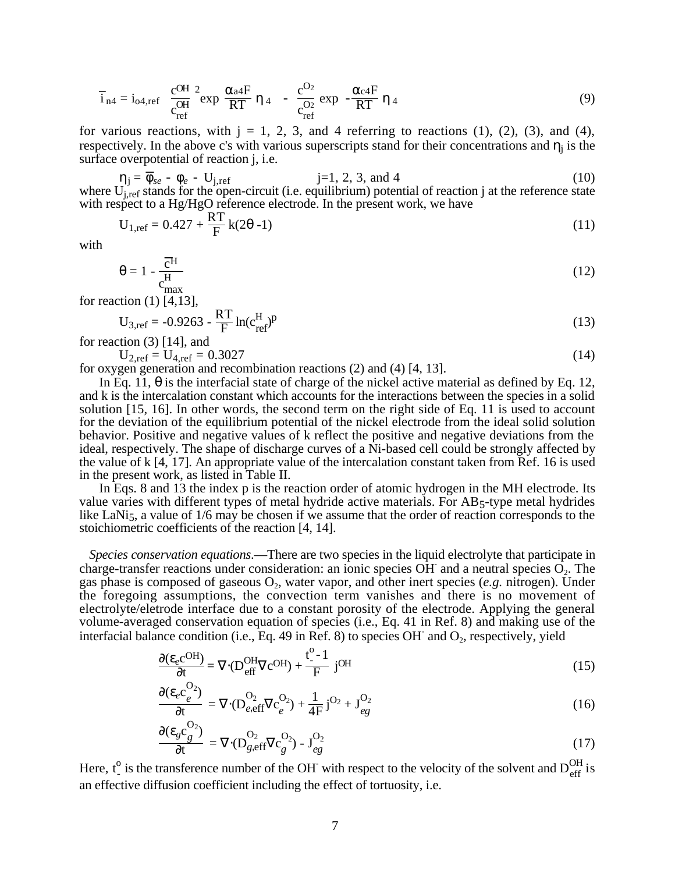$$
\overline{i}_{n4} = i_{o4,ref} \left[ \left( \frac{c^{OH}}{c_{ref}^{OH}} \right)^2 \exp\left( \frac{\alpha_{a4}F}{RT} \eta_4 \right) - \left( \frac{c^{O_2}}{c_{ref}^{O_2}} \right) \exp\left( -\frac{\alpha_{c4}F}{RT} \eta_4 \right) \right]
$$
(9)

for various reactions, with  $j = 1, 2, 3$ , and 4 referring to reactions (1), (2), (3), and (4), respectively. In the above c's with various superscripts stand for their concentrations and  $\eta_i$  is the surface overpotential of reaction j, i.e.

$$
\eta_j = \overline{\phi}_{se} - \phi_e - U_{j,ref} \qquad j=1, 2, 3, \text{ and } 4 \qquad (10)
$$

where  $U_{j,ref}$  stands for the open-circuit (i.e. equilibrium) potential of reaction j at the reference state with respect to a Hg/HgO reference electrode. In the present work, we have

$$
U_{1,ref} = 0.427 + \frac{RT}{F} k(2\theta - 1)
$$
 (11)

with

$$
\theta = 1 - \frac{\overline{c}^{\mathrm{H}}}{c_{\mathrm{max}}^{\mathrm{H}}} \tag{12}
$$

for reaction (1) [4,13],

$$
U_{3,ref} = -0.9263 - \frac{RT}{F} \ln(c_{ref}^{H})^p
$$
 (13)

for reaction  $(3)$  [14], and

$$
U_{2,ref} = U_{4,ref} = 0.3027
$$
\n(14)

for oxygen generation and recombination reactions (2) and (4) [4, 13].

In Eq. 11,  $\theta$  is the interfacial state of charge of the nickel active material as defined by Eq. 12, and k is the intercalation constant which accounts for the interactions between the species in a solid solution [15, 16]. In other words, the second term on the right side of Eq. 11 is used to account for the deviation of the equilibrium potential of the nickel electrode from the ideal solid solution behavior. Positive and negative values of k reflect the positive and negative deviations from the ideal, respectively. The shape of discharge curves of a Ni-based cell could be strongly affected by the value of k [4, 17]. An appropriate value of the intercalation constant taken from Ref. 16 is used in the present work, as listed in Table II.

In Eqs. 8 and 13 the index p is the reaction order of atomic hydrogen in the MH electrode. Its value varies with different types of metal hydride active materials. For  $AB<sub>5</sub>$ -type metal hydrides like LaNi<sub>5</sub>, a value of 1/6 may be chosen if we assume that the order of reaction corresponds to the stoichiometric coefficients of the reaction [4, 14].

*Species conservation equations*.—There are two species in the liquid electrolyte that participate in charge-transfer reactions under consideration: an ionic species OH and a neutral species  $O<sub>2</sub>$ . The gas phase is composed of gaseous O<sub>2</sub>, water vapor, and other inert species (e.g. nitrogen). Under the foregoing assumptions, the convection term vanishes and there is no movement of electrolyte/eletrode interface due to a constant porosity of the electrode. Applying the general volume-averaged conservation equation of species (i.e., Eq. 41 in Ref. 8) and making use of the interfacial balance condition (i.e., Eq. 49 in Ref. 8) to species OH and  $O_2$ , respectively, yield

$$
\frac{\partial (\varepsilon_e \mathbf{C}^{\text{OH}})}{\partial t} = \nabla \cdot (\mathbf{D}_{\text{eff}}^{\text{OH}} \nabla \mathbf{C}^{\text{OH}}) + \frac{\mathbf{t}_{-}^{\text{O}} - 1}{\mathbf{F}} \text{ jOH}
$$
(15)

$$
\frac{\partial (\varepsilon_e c_e^{O_2})}{\partial t} = \nabla \cdot (D_{e,\text{eff}}^{O_2} \nabla c_e^{O_2}) + \frac{1}{4F} j^{O_2} + J_{eg}^{O_2}
$$
(16)

$$
\frac{\partial (\varepsilon_g c_g^{O_2})}{\partial t} = \nabla \cdot (D_{g,eff}^{O_2} \nabla c_g^{O_2}) - J_{eg}^{O_2}
$$
\n(17)

Here,  $t_{\perp}^{\circ}$  is the transference number of the OH with respect to the velocity of the solvent and  $D_{\text{eff}}^{\text{OH}}$  is an effective diffusion coefficient including the effect of tortuosity, i.e.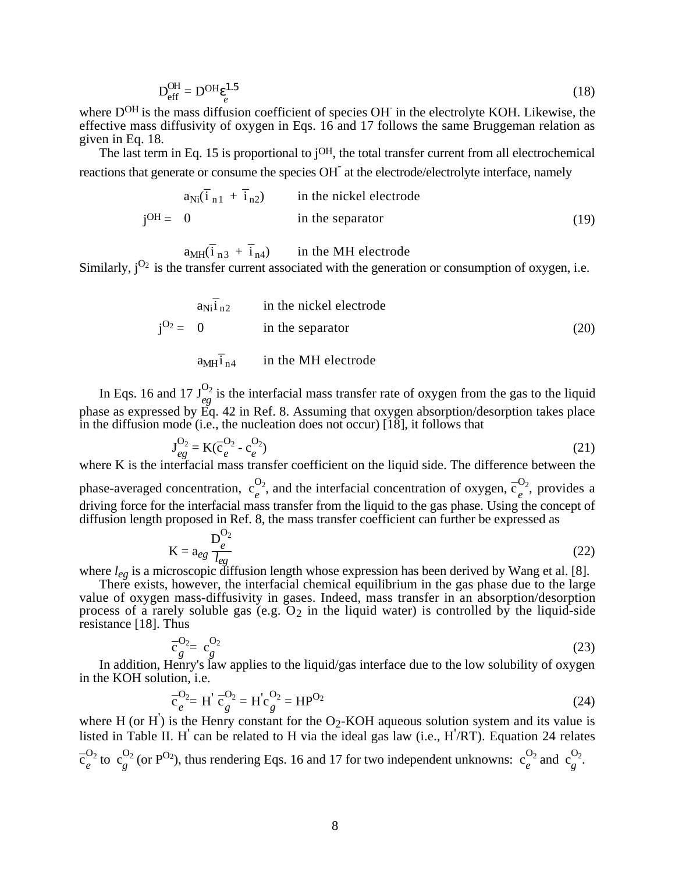$$
D_{\text{eff}}^{\text{OH}} = D^{\text{OH}} \epsilon_e^{1.5} \tag{18}
$$

where D<sup>OH</sup> is the mass diffusion coefficient of species OH in the electrolyte KOH. Likewise, the effective mass diffusivity of oxygen in Eqs. 16 and 17 follows the same Bruggeman relation as given in Eq. 18.

The last term in Eq. 15 is proportional to j<sup>OH</sup>, the total transfer current from all electrochemical reactions that generate or consume the species OH<sup>-</sup> at the electrode/electrolyte interface, namely

$$
j^{OH} = \begin{cases} a_{Ni}(\overline{i}_{n1} + \overline{i}_{n2}) & \text{in the nickel electrode} \\ 0 & \text{in the separator} \\ a_{MH}(\overline{i}_{n3} + \overline{i}_{n4}) & \text{in the MH electrode} \end{cases}
$$
(19)

a<sub>MH</sub>(i  $\overline{i}_{n3} + \overline{i}_{n4}$  in the MH electrode

Similarly,  $i^{O_2}$  is the transfer current associated with the generation or consumption of oxygen, i.e.

$$
j^{O_2} = \begin{cases} a_{Ni} \bar{i}_{n2} & \text{in the nickel electrode} \\ 0 & \text{in the separator} \\ a_{MH} \bar{i}_{n4} & \text{in the MH electrode} \end{cases}
$$
 (20)

In Eqs. 16 and 17  $J_{eg}^{O_2}$  is the interfacial mass transfer rate of oxygen from the gas to the liquid phase as expressed by Eq. 42 in Ref. 8. Assuming that oxygen absorption/desorption takes place in the diffusion mode (i.e., the nucleation does not occur) [18], it follows that

$$
J_{eg}^{O_2} = K(\bar{c}_e^{O_2} - c_e^{O_2})
$$
\n(21)

where K is the interfacial mass transfer coefficient on the liquid side. The difference between the phase-averaged concentration,  $c_e^{O_2}$ , and the interfacial concentration of oxygen,  $\overline{c}_e^{O_2}$ , provides a driving force for the interfacial mass transfer from the liquid to the gas phase. Using the concept of diffusion length proposed in Ref. 8, the mass transfer coefficient can further be expressed as

$$
K = a_{eg} \frac{D_e^{O_2}}{l_{eg}}
$$
 (22)

where *leg* is a microscopic diffusion length whose expression has been derived by Wang et al. [8].

There exists, however, the interfacial chemical equilibrium in the gas phase due to the large value of oxygen mass-diffusivity in gases. Indeed, mass transfer in an absorption/desorption process of a rarely soluble gas  $(e.g. O<sub>2</sub>)$  in the liquid water) is controlled by the liquid-side resistance [18]. Thus

$$
\overline{c}_g^{O_2} = c_g^{O_2} \tag{23}
$$

In addition, Henry's law applies to the liquid/gas interface due to the low solubility of oxygen in the KOH solution, i.e.

$$
\overline{c}_e^{O_2} = H' \overline{c}_g^{O_2} = H' c_g^{O_2} = H P^{O_2}
$$
 (24)

where H (or H<sup>'</sup>) is the Henry constant for the  $O_2$ -KOH aqueous solution system and its value is listed in Table II. H<sup>'</sup> can be related to H via the ideal gas law (i.e., H<sup>'</sup>/RT). Equation 24 relates  $\overline{c}_e^{\overline{O}_2}$  $\frac{O_2}{e}$  to  $\frac{O_2}{g}$  (or P<sup>O<sub>2</sub>)</sup>, thus rendering Eqs. 16 and 17 for two independent unknowns:  $c_e^{O_2}$  and  $c_g^{O_2}$ .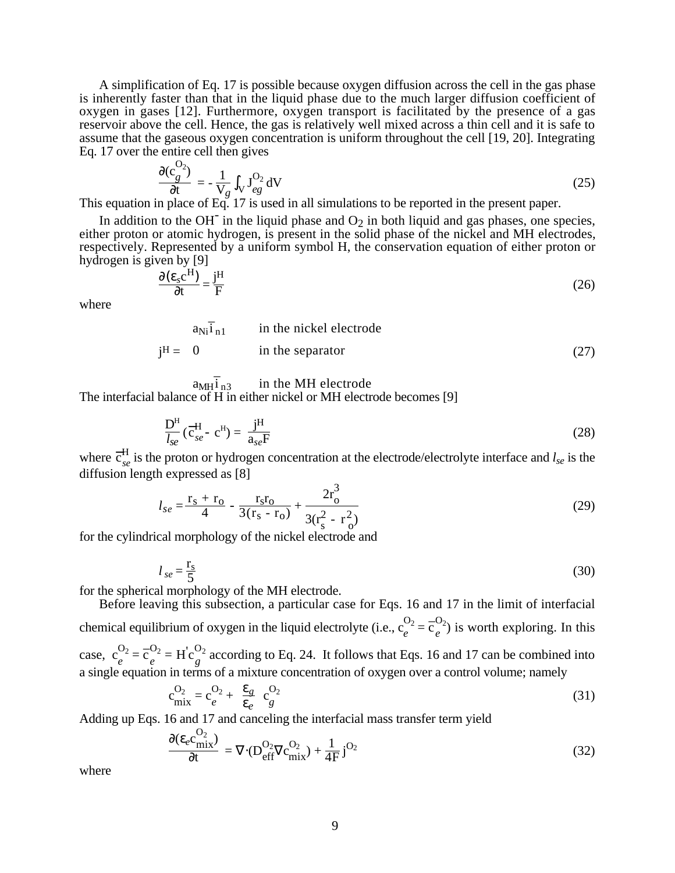A simplification of Eq. 17 is possible because oxygen diffusion across the cell in the gas phase is inherently faster than that in the liquid phase due to the much larger diffusion coefficient of oxygen in gases [12]. Furthermore, oxygen transport is facilitated by the presence of a gas reservoir above the cell. Hence, the gas is relatively well mixed across a thin cell and it is safe to assume that the gaseous oxygen concentration is uniform throughout the cell [19, 20]. Integrating Eq. 17 over the entire cell then gives

$$
\frac{\partial (c_g^{v_2})}{\partial t} = -\frac{1}{V_g} \int_V J_{eg}^{O_2} dV
$$
\n(25)

This equation in place of Eq. 17 is used in all simulations to be reported in the present paper.

In addition to the OH<sup>-</sup> in the liquid phase and  $O_2$  in both liquid and gas phases, one species, either proton or atomic hydrogen, is present in the solid phase of the nickel and MH electrodes, respectively. Represented by a uniform symbol H, the conservation equation of either proton or hydrogen is given by [9]

$$
\frac{\partial (\varepsilon_s c^H)}{\partial t} = \frac{j^H}{F}
$$
 (26)

where

 $\Omega$ 

$$
j^{H} = \begin{cases} a_{Ni}\overline{i}_{n1} & \text{in the nickel electrode} \\ 0 & \text{in the separator} \\ a_{MH}\overline{i}_{n3} & \text{in the MH electrode} \end{cases}
$$
 (27)

The interfacial balance of H in either nickel or MH electrode becomes [9]

$$
\frac{\mathbf{D}^{\mathrm{H}}}{I_{se}}(\overline{\mathbf{c}}_{se}^{\mathrm{H}} - \mathbf{c}^{\mathrm{H}}) = \frac{\mathbf{j}^{\mathrm{H}}}{a_{se}\mathbf{F}}
$$
(28)

where  $\overline{c}_{se}^H$  is the proton or hydrogen concentration at the electrode/electrolyte interface and *l<sub>se</sub>* is the diffusion length expressed as [8]

$$
l_{se} = \frac{r_s + r_o}{4} - \frac{r_s r_o}{3(r_s - r_o)} + \frac{2r_o^3}{3(r_s^2 - r_o^2)}
$$
(29)

for the cylindrical morphology of the nickel electrode and

$$
l_{se} = \frac{\mathbf{r}_s}{5} \tag{30}
$$

for the spherical morphology of the MH electrode.

Before leaving this subsection, a particular case for Eqs. 16 and 17 in the limit of interfacial chemical equilibrium of oxygen in the liquid electrolyte (i.e.,  $c_e^{O_2} = \overline{c}_e^{O_2}$ ) is worth exploring. In this case,  $c_2^{\text{O}_2}$  $\frac{O_2}{e} = \overline{c}_e^{O_2} = H' c_g^{O_2}$  according to Eq. 24. It follows that Eqs. 16 and 17 can be combined into a single equation in terms of a mixture concentration of oxygen over a control volume; namely

$$
c_{\text{mix}}^{O_2} = c_e^{O_2} + \left(\frac{\varepsilon_g}{\varepsilon_e}\right) c_g^{O_2} \tag{31}
$$

Adding up Eqs. 16 and 17 and canceling the interfacial mass transfer term yield

$$
\frac{\partial (\varepsilon_e c_{mix}^{O_2})}{\partial t} = \nabla \cdot (D_{\text{eff}}^{O_2} \nabla c_{mix}^{O_2}) + \frac{1}{4F} j^{O_2}
$$
(32)

where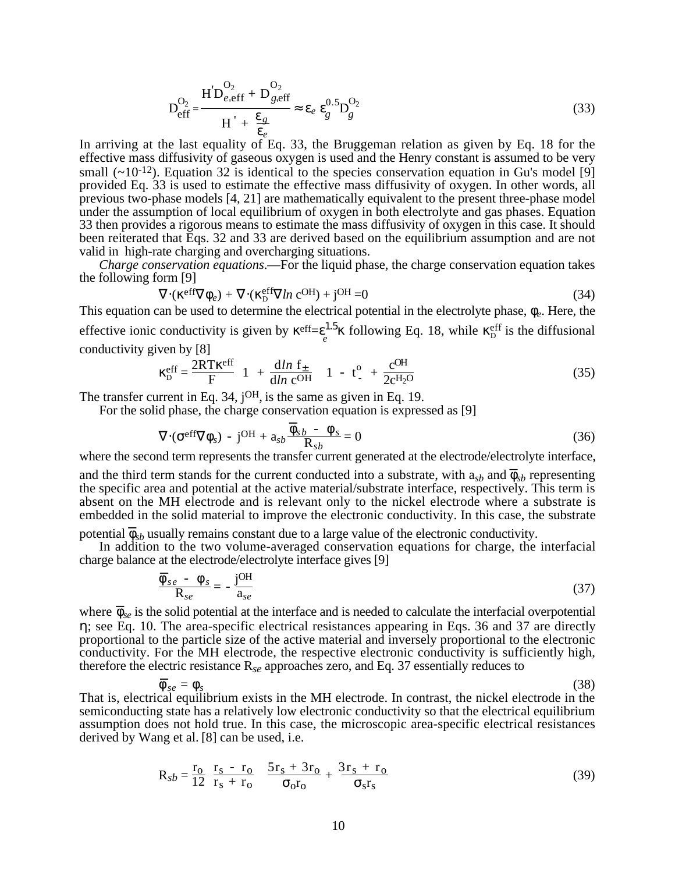$$
D_{\text{eff}}^{\text{O}_2} = \frac{H^{'}D_{e,\text{eff}}^{\text{O}_2} + D_{g,\text{eff}}^{\text{O}_2}}{H^{'} + \frac{\varepsilon_g}{\varepsilon_e}} \approx \varepsilon_e \, \varepsilon_g^{\text{O.5}} D_g^{\text{O}_2} \tag{33}
$$

In arriving at the last equality of Eq. 33, the Bruggeman relation as given by Eq. 18 for the effective mass diffusivity of gaseous oxygen is used and the Henry constant is assumed to be very small  $(\sim 10^{-12})$ . Equation 32 is identical to the species conservation equation in Gu's model [9] provided Eq. 33 is used to estimate the effective mass diffusivity of oxygen. In other words, all previous two-phase models [4, 21] are mathematically equivalent to the present three-phase model under the assumption of local equilibrium of oxygen in both electrolyte and gas phases. Equation 33 then provides a rigorous means to estimate the mass diffusivity of oxygen in this case. It should been reiterated that Eqs. 32 and 33 are derived based on the equilibrium assumption and are not valid in high-rate charging and overcharging situations.

*Charge conservation equations*.—For the liquid phase, the charge conservation equation takes the following form [9]

$$
\nabla \cdot (\kappa^{\text{eff}} \nabla \phi_e) + \nabla \cdot (\kappa^{\text{eff}}_D \nabla \ln c^{\text{OH}}) + j^{\text{OH}} = 0 \tag{34}
$$

This equation can be used to determine the electrical potential in the electrolyte phase, φ*e*. Here, the effective ionic conductivity is given by  $\kappa^{eff} = \varepsilon^{1.5}_{\ell} \kappa$  following Eq. 18, while  $\kappa^{eff}_{D}$  is the diffusional conductivity given by [8]

$$
\kappa_{\rm D}^{\rm eff} = \frac{2RT\kappa^{\rm eff}}{F} \left( 1 + \frac{\mathrm{d}\ln f_{\pm}}{\mathrm{d}\ln c^{\rm OH}} \right) \left( 1 - t^{\rm o}_{-} + \frac{c^{\rm OH}}{2c^{\rm H}2^{\rm O}} \right) \tag{35}
$$

The transfer current in Eq. 34, j<sup>OH</sup>, is the same as given in Eq. 19.

For the solid phase, the charge conservation equation is expressed as [9]

$$
\nabla \cdot (\sigma^{\text{eff}} \nabla \phi_s) - j^{\text{OH}} + a_{sb} \frac{\overline{\phi}_{sb} - \phi_s}{R_{sb}} = 0
$$
 (36)

where the second term represents the transfer current generated at the electrode/electrolyte interface,

and the third term stands for the current conducted into a substrate, with  $a_{sb}$  and  $\bar{\phi}_{sb}$  representing the specific area and potential at the active material/substrate interface, respectively. This term is absent on the MH electrode and is relevant only to the nickel electrode where a substrate is embedded in the solid material to improve the electronic conductivity. In this case, the substrate

potential  $\overline{\phi}_{sb}$  usually remains constant due to a large value of the electronic conductivity.

In addition to the two volume-averaged conservation equations for charge, the interfacial charge balance at the electrode/electrolyte interface gives [9]

$$
\frac{\overline{\phi}_{se} - \phi_s}{\mathbf{R}_{se}} = -\frac{\mathbf{j}^{\text{OH}}}{a_{se}} \tag{37}
$$

where  $\bar{\phi}_{se}$  is the solid potential at the interface and is needed to calculate the interfacial overpotential η; see Eq. 10. The area-specific electrical resistances appearing in Eqs. 36 and 37 are directly proportional to the particle size of the active material and inversely proportional to the electronic conductivity. For the MH electrode, the respective electronic conductivity is sufficiently high, therefore the electric resistance R*se* approaches zero, and Eq. 37 essentially reduces to

$$
\overline{\phi}_{se} = \phi_s \tag{38}
$$

That is, electrical equilibrium exists in the MH electrode. In contrast, the nickel electrode in the semiconducting state has a relatively low electronic conductivity so that the electrical equilibrium assumption does not hold true. In this case, the microscopic area-specific electrical resistances derived by Wang et al. [8] can be used, i.e.

$$
R_{sb} = \frac{r_o}{12} \left( \frac{r_s - r_o}{r_s + r_o} \right) \left( \frac{5r_s + 3r_o}{\sigma_o r_o} + \frac{3r_s + r_o}{\sigma_s r_s} \right)
$$
(39)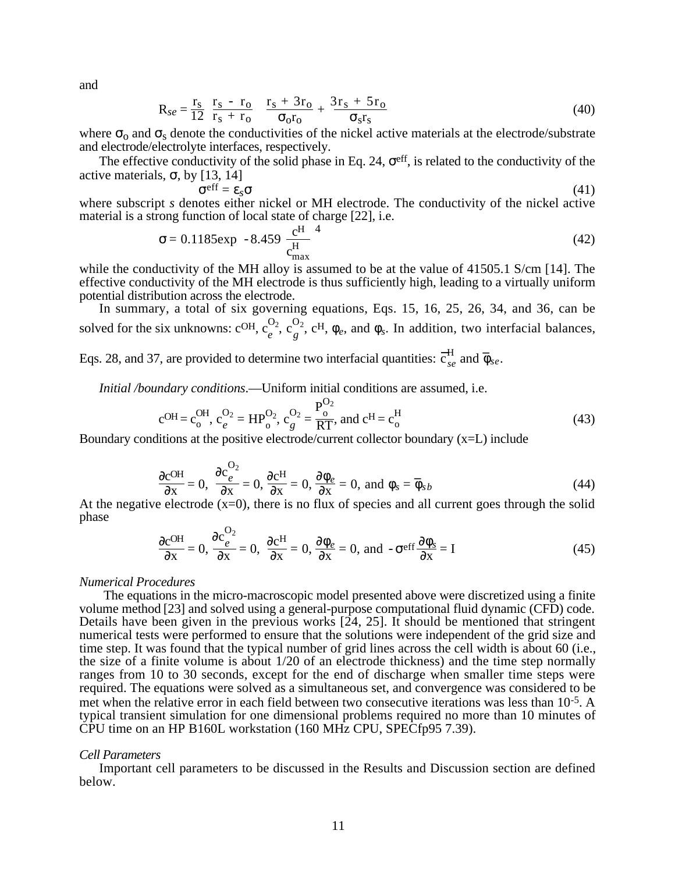and

$$
R_{se} = \frac{r_s}{12} \left( \frac{r_s - r_o}{r_s + r_o} \right) \left( \frac{r_s + 3r_o}{\sigma_o r_o} + \frac{3r_s + 5r_o}{\sigma_s r_s} \right)
$$
(40)

where  $\sigma_0$  and  $\sigma_s$  denote the conductivities of the nickel active materials at the electrode/substrate and electrode/electrolyte interfaces, respectively.

The effective conductivity of the solid phase in Eq. 24,  $\sigma^{\text{eff}}$ , is related to the conductivity of the active materials,  $\sigma$ , by [13, 14]

$$
\sigma^{\text{eff}} = \varepsilon_s \sigma \tag{41}
$$

where subscript *s* denotes either nickel or MH electrode. The conductivity of the nickel active material is a strong function of local state of charge [22], i.e.

$$
\sigma = 0.1185 \exp\left[-8.459 \left(\frac{c^{\text{H}}}{c_{\text{max}}^{\text{H}}}\right)^4\right]
$$
(42)

while the conductivity of the MH alloy is assumed to be at the value of 41505.1 S/cm [14]. The effective conductivity of the MH electrode is thus sufficiently high, leading to a virtually uniform potential distribution across the electrode.

In summary, a total of six governing equations, Eqs. 15, 16, 25, 26, 34, and 36, can be solved for the six unknowns:  $c^{OH}$ ,  $c_e^{O_2}$ ,  $c_g^{O_2}$ ,  $c^H$ ,  $\phi_e$ , and  $\phi_s$ . In addition, two interfacial balances, \_

Eqs. 28, and 37, are provided to determine two interfacial quantities:  $\overline{c}_{se}^H$  and  $\overline{\phi}$ *se*.

*Initial /boundary conditions*.—Uniform initial conditions are assumed, i.e.

$$
c^{OH} = c_0^{OH}, c_e^{O_2} = HP_{o}^{O_2}, c_g^{O_2} = \frac{P_o^{O_2}}{RT}, \text{ and } c^H = c_o^H
$$
\n(43)

Boundary conditions at the positive electrode/current collector boundary  $(x=L)$  include

$$
\frac{\partial c^{OH}}{\partial x} = 0, \quad \frac{\partial c^{O_2}}{\partial x} = 0, \quad \frac{\partial c^{H}}{\partial x} = 0, \quad \frac{\partial \phi_e}{\partial x} = 0, \text{ and } \phi_s = \overline{\phi}_{sb}
$$
(44)

At the negative electrode  $(x=0)$ , there is no flux of species and all current goes through the solid phase

$$
\frac{\partial c^{OH}}{\partial x} = 0, \frac{\partial c_e^{O_2}}{\partial x} = 0, \frac{\partial c^H}{\partial x} = 0, \frac{\partial \phi_e}{\partial x} = 0, \text{ and } -\sigma^{\text{eff}} \frac{\partial \phi_s}{\partial x} = I
$$
 (45)

#### *Numerical Procedures*

The equations in the micro-macroscopic model presented above were discretized using a finite volume method [23] and solved using a general-purpose computational fluid dynamic (CFD) code. Details have been given in the previous works  $[24, 25]$ . It should be mentioned that stringent numerical tests were performed to ensure that the solutions were independent of the grid size and time step. It was found that the typical number of grid lines across the cell width is about 60 (i.e., the size of a finite volume is about 1/20 of an electrode thickness) and the time step normally ranges from 10 to 30 seconds, except for the end of discharge when smaller time steps were required. The equations were solved as a simultaneous set, and convergence was considered to be met when the relative error in each field between two consecutive iterations was less than 10-5. A typical transient simulation for one dimensional problems required no more than 10 minutes of CPU time on an HP B160L workstation (160 MHz CPU, SPECfp95 7.39).

#### *Cell Parameters*

Important cell parameters to be discussed in the Results and Discussion section are defined below.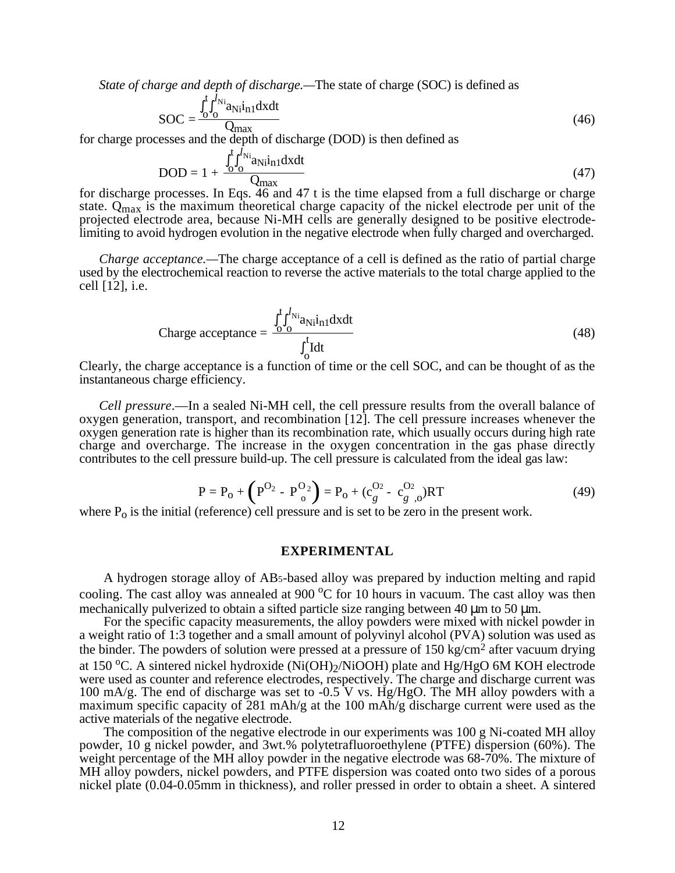*State of charge and depth of discharge.—*The state of charge (SOC) is defined as

$$
SOC = \frac{\int_{0}^{t} \int_{0}^{l} N_{i}}{Q_{\text{max}}}
$$
 (46)

for charge processes and the depth of discharge (DOD) is then defined as

$$
DOD = 1 + \frac{\int_{0}^{t} \int_{0}^{l} N_i a_{\text{N}} i_{\text{nl}} dx dt}{Q_{\text{max}}}
$$
(47)

for discharge processes. In Eqs. 46 and 47 t is the time elapsed from a full discharge or charge state.  $Q_{\text{max}}$  is the maximum theoretical charge capacity of the nickel electrode per unit of the projected electrode area, because Ni-MH cells are generally designed to be positive electrodelimiting to avoid hydrogen evolution in the negative electrode when fully charged and overcharged.

*Charge acceptance.—*The charge acceptance of a cell is defined as the ratio of partial charge used by the electrochemical reaction to reverse the active materials to the total charge applied to the cell [12], i.e.

$$
\text{Change acceptance} = \frac{\int_{0}^{t} \int_{0}^{l} \lambda_{i} \hat{a}_{Ni} \hat{i}_{n1} \, dx \, dt}{\int_{0}^{t} I dt} \tag{48}
$$

Clearly, the charge acceptance is a function of time or the cell SOC, and can be thought of as the instantaneous charge efficiency.

*Cell pressure*.—In a sealed Ni-MH cell, the cell pressure results from the overall balance of oxygen generation, transport, and recombination [12]. The cell pressure increases whenever the oxygen generation rate is higher than its recombination rate, which usually occurs during high rate charge and overcharge. The increase in the oxygen concentration in the gas phase directly contributes to the cell pressure build-up. The cell pressure is calculated from the ideal gas law:

$$
P = P_0 + (P^{O_2} - P^{O_2}) = P_0 + (c_g^{O_2} - c_{g,0}^{O_2})RT
$$
(49)

where  $P_0$  is the initial (reference) cell pressure and is set to be zero in the present work.

### **EXPERIMENTAL**

A hydrogen storage alloy of AB5-based alloy was prepared by induction melting and rapid cooling. The cast alloy was annealed at 900 °C for 10 hours in vacuum. The cast alloy was then mechanically pulverized to obtain a sifted particle size ranging between 40  $\mu$ m to 50  $\mu$ m.

For the specific capacity measurements, the alloy powders were mixed with nickel powder in a weight ratio of 1:3 together and a small amount of polyvinyl alcohol (PVA) solution was used as the binder. The powders of solution were pressed at a pressure of 150 kg/cm2 after vacuum drying at 150 °C. A sintered nickel hydroxide (Ni(OH)<sub>2</sub>/NiOOH) plate and Hg/HgO 6M KOH electrode were used as counter and reference electrodes, respectively. The charge and discharge current was 100 mA/g. The end of discharge was set to -0.5 V vs. Hg/HgO. The MH alloy powders with a maximum specific capacity of 281 mAh/g at the 100 mAh/g discharge current were used as the active materials of the negative electrode.

The composition of the negative electrode in our experiments was 100 g Ni-coated MH alloy powder, 10 g nickel powder, and 3wt.% polytetrafluoroethylene (PTFE) dispersion (60%). The weight percentage of the MH alloy powder in the negative electrode was 68-70%. The mixture of MH alloy powders, nickel powders, and PTFE dispersion was coated onto two sides of a porous nickel plate (0.04-0.05mm in thickness), and roller pressed in order to obtain a sheet. A sintered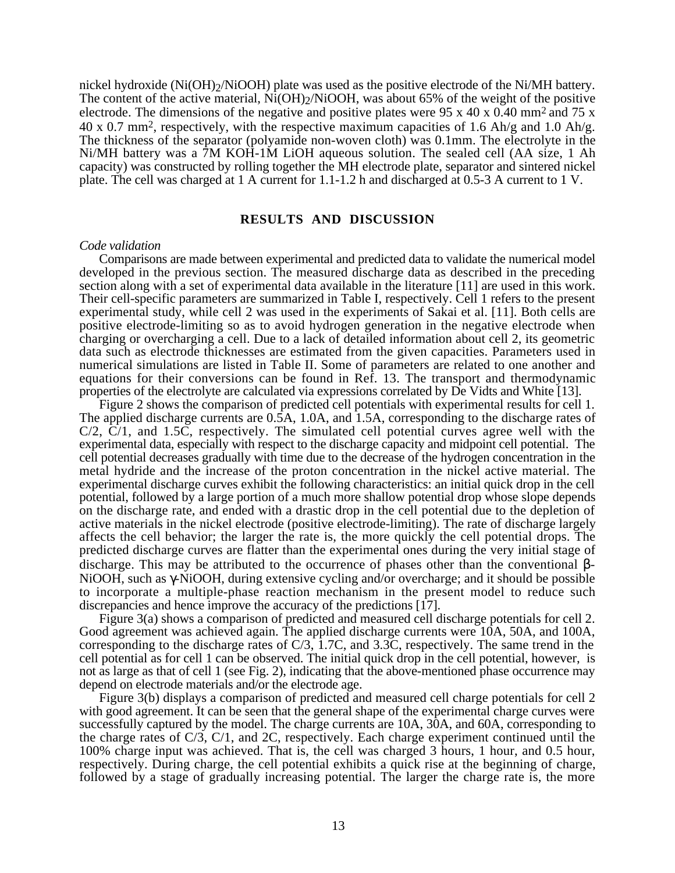nickel hydroxide (Ni(OH)<sub>2</sub>/NiOOH) plate was used as the positive electrode of the Ni/MH battery. The content of the active material, Ni(OH)<sub>2</sub>/NiOOH, was about 65% of the weight of the positive electrode. The dimensions of the negative and positive plates were 95 x 40 x 0.40 mm<sup>2</sup> and 75 x  $40 \times 0.7$  mm<sup>2</sup>, respectively, with the respective maximum capacities of 1.6 Ah/g and 1.0 Ah/g. The thickness of the separator (polyamide non-woven cloth) was 0.1mm. The electrolyte in the Ni/MH battery was a 7M KOH-1M LiOH aqueous solution. The sealed cell (AA size, 1 Ah capacity) was constructed by rolling together the MH electrode plate, separator and sintered nickel plate. The cell was charged at 1 A current for 1.1-1.2 h and discharged at 0.5-3 A current to 1 V.

## **RESULTS AND DISCUSSION**

#### *Code validation*

Comparisons are made between experimental and predicted data to validate the numerical model developed in the previous section. The measured discharge data as described in the preceding section along with a set of experimental data available in the literature [11] are used in this work. Their cell-specific parameters are summarized in Table I, respectively. Cell 1 refers to the present experimental study, while cell 2 was used in the experiments of Sakai et al. [11]. Both cells are positive electrode-limiting so as to avoid hydrogen generation in the negative electrode when charging or overcharging a cell. Due to a lack of detailed information about cell 2, its geometric data such as electrode thicknesses are estimated from the given capacities. Parameters used in numerical simulations are listed in Table II. Some of parameters are related to one another and equations for their conversions can be found in Ref. 13. The transport and thermodynamic properties of the electrolyte are calculated via expressions correlated by De Vidts and White [13].

Figure 2 shows the comparison of predicted cell potentials with experimental results for cell 1. The applied discharge currents are 0.5A, 1.0A, and 1.5A, corresponding to the discharge rates of C/2, C/1, and 1.5C, respectively. The simulated cell potential curves agree well with the experimental data, especially with respect to the discharge capacity and midpoint cell potential. The cell potential decreases gradually with time due to the decrease of the hydrogen concentration in the metal hydride and the increase of the proton concentration in the nickel active material. The experimental discharge curves exhibit the following characteristics: an initial quick drop in the cell potential, followed by a large portion of a much more shallow potential drop whose slope depends on the discharge rate, and ended with a drastic drop in the cell potential due to the depletion of active materials in the nickel electrode (positive electrode-limiting). The rate of discharge largely affects the cell behavior; the larger the rate is, the more quickly the cell potential drops. The predicted discharge curves are flatter than the experimental ones during the very initial stage of discharge. This may be attributed to the occurrence of phases other than the conventional β-NiOOH, such as γ-NiOOH, during extensive cycling and/or overcharge; and it should be possible to incorporate a multiple-phase reaction mechanism in the present model to reduce such discrepancies and hence improve the accuracy of the predictions [17].

Figure 3(a) shows a comparison of predicted and measured cell discharge potentials for cell 2. Good agreement was achieved again. The applied discharge currents were 10A, 50A, and 100A, corresponding to the discharge rates of  $C/3$ , 1.7C, and 3.3C, respectively. The same trend in the cell potential as for cell 1 can be observed. The initial quick drop in the cell potential, however, is not as large as that of cell 1 (see Fig. 2), indicating that the above-mentioned phase occurrence may depend on electrode materials and/or the electrode age.

Figure 3(b) displays a comparison of predicted and measured cell charge potentials for cell 2 with good agreement. It can be seen that the general shape of the experimental charge curves were successfully captured by the model. The charge currents are 10A, 30A, and 60A, corresponding to the charge rates of  $C/3$ ,  $C/1$ , and 2C, respectively. Each charge experiment continued until the 100% charge input was achieved. That is, the cell was charged 3 hours, 1 hour, and 0.5 hour, respectively. During charge, the cell potential exhibits a quick rise at the beginning of charge, followed by a stage of gradually increasing potential. The larger the charge rate is, the more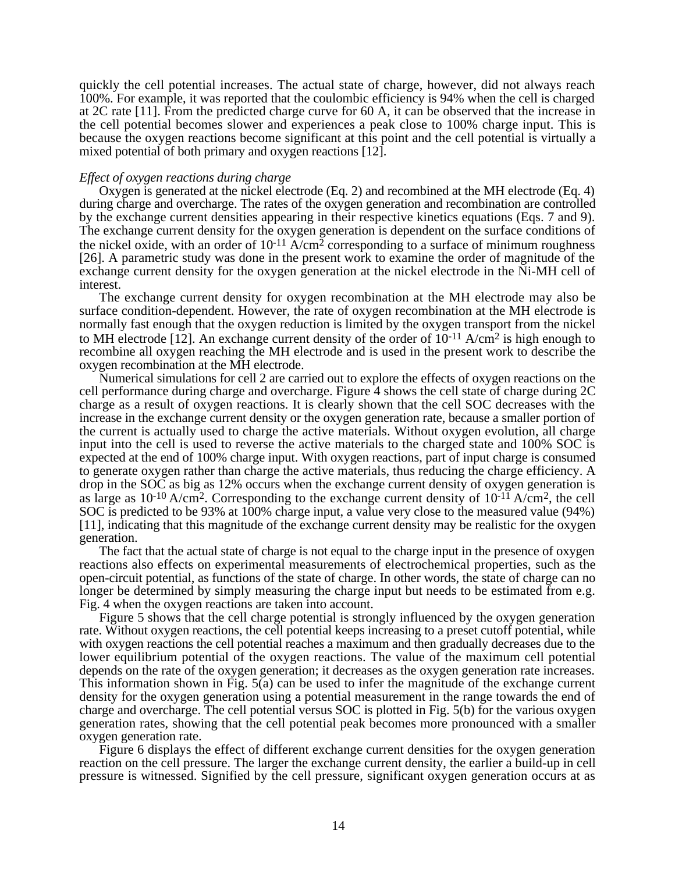quickly the cell potential increases. The actual state of charge, however, did not always reach 100%. For example, it was reported that the coulombic efficiency is 94% when the cell is charged at 2C rate [11]. From the predicted charge curve for 60 A, it can be observed that the increase in the cell potential becomes slower and experiences a peak close to 100% charge input. This is because the oxygen reactions become significant at this point and the cell potential is virtually a mixed potential of both primary and oxygen reactions [12].

## *Effect of oxygen reactions during charge*

Oxygen is generated at the nickel electrode (Eq. 2) and recombined at the MH electrode (Eq. 4) during charge and overcharge. The rates of the oxygen generation and recombination are controlled by the exchange current densities appearing in their respective kinetics equations (Eqs. 7 and 9). The exchange current density for the oxygen generation is dependent on the surface conditions of the nickel oxide, with an order of  $10^{-11}$  A/cm<sup>2</sup> corresponding to a surface of minimum roughness [26]. A parametric study was done in the present work to examine the order of magnitude of the exchange current density for the oxygen generation at the nickel electrode in the Ni-MH cell of interest.

The exchange current density for oxygen recombination at the MH electrode may also be surface condition-dependent. However, the rate of oxygen recombination at the MH electrode is normally fast enough that the oxygen reduction is limited by the oxygen transport from the nickel to MH electrode [12]. An exchange current density of the order of  $10^{-11}$  A/cm<sup>2</sup> is high enough to recombine all oxygen reaching the MH electrode and is used in the present work to describe the oxygen recombination at the MH electrode.

Numerical simulations for cell 2 are carried out to explore the effects of oxygen reactions on the cell performance during charge and overcharge. Figure 4 shows the cell state of charge during 2C charge as a result of oxygen reactions. It is clearly shown that the cell SOC decreases with the increase in the exchange current density or the oxygen generation rate, because a smaller portion of the current is actually used to charge the active materials. Without oxygen evolution, all charge input into the cell is used to reverse the active materials to the charged state and 100% SOC is expected at the end of 100% charge input. With oxygen reactions, part of input charge is consumed to generate oxygen rather than charge the active materials, thus reducing the charge efficiency. A drop in the SOC as big as 12% occurs when the exchange current density of oxygen generation is as large as  $10^{-10}$  A/cm<sup>2</sup>. Corresponding to the exchange current density of  $10^{-11}$  A/cm<sup>2</sup>, the cell SOC is predicted to be 93% at 100% charge input, a value very close to the measured value (94%) [11], indicating that this magnitude of the exchange current density may be realistic for the oxygen generation.

The fact that the actual state of charge is not equal to the charge input in the presence of oxygen reactions also effects on experimental measurements of electrochemical properties, such as the open-circuit potential, as functions of the state of charge. In other words, the state of charge can no longer be determined by simply measuring the charge input but needs to be estimated from e.g. Fig. 4 when the oxygen reactions are taken into account.

Figure 5 shows that the cell charge potential is strongly influenced by the oxygen generation rate. Without oxygen reactions, the cell potential keeps increasing to a preset cutoff potential, while with oxygen reactions the cell potential reaches a maximum and then gradually decreases due to the lower equilibrium potential of the oxygen reactions. The value of the maximum cell potential depends on the rate of the oxygen generation; it decreases as the oxygen generation rate increases. This information shown in Fig. 5(a) can be used to infer the magnitude of the exchange current density for the oxygen generation using a potential measurement in the range towards the end of charge and overcharge. The cell potential versus SOC is plotted in Fig. 5(b) for the various oxygen generation rates, showing that the cell potential peak becomes more pronounced with a smaller oxygen generation rate.

Figure 6 displays the effect of different exchange current densities for the oxygen generation reaction on the cell pressure. The larger the exchange current density, the earlier a build-up in cell pressure is witnessed. Signified by the cell pressure, significant oxygen generation occurs at as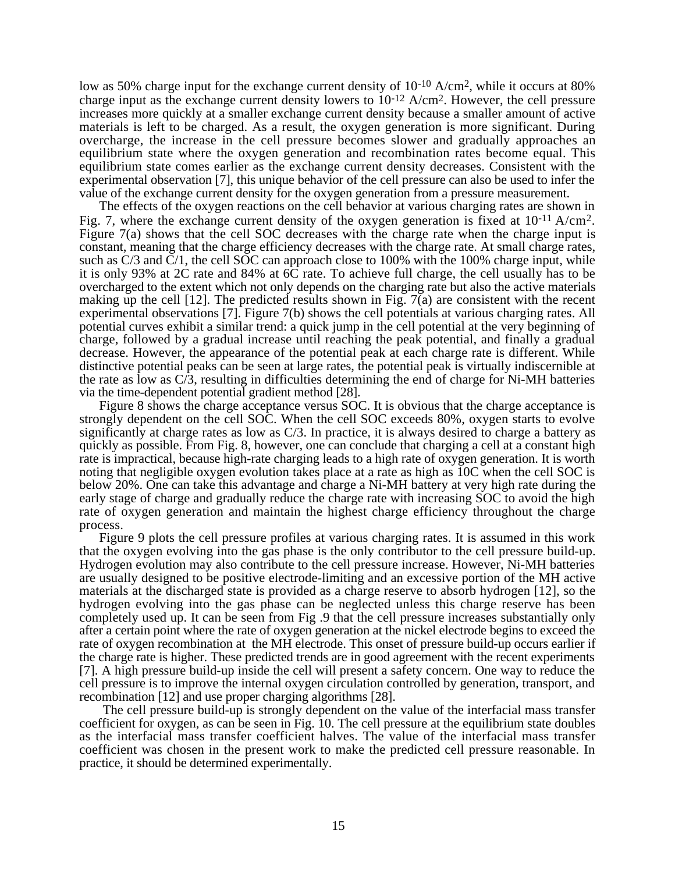low as 50% charge input for the exchange current density of 10<sup>-10</sup> A/cm<sup>2</sup>, while it occurs at 80% charge input as the exchange current density lowers to  $10^{-12}$  A/cm<sup>2</sup>. However, the cell pressure increases more quickly at a smaller exchange current density because a smaller amount of active materials is left to be charged. As a result, the oxygen generation is more significant. During overcharge, the increase in the cell pressure becomes slower and gradually approaches an equilibrium state where the oxygen generation and recombination rates become equal. This equilibrium state comes earlier as the exchange current density decreases. Consistent with the experimental observation [7], this unique behavior of the cell pressure can also be used to infer the value of the exchange current density for the oxygen generation from a pressure measurement.

The effects of the oxygen reactions on the cell behavior at various charging rates are shown in Fig. 7, where the exchange current density of the oxygen generation is fixed at  $10^{-11}$  A/cm<sup>2</sup>. Figure 7(a) shows that the cell SOC decreases with the charge rate when the charge input is constant, meaning that the charge efficiency decreases with the charge rate. At small charge rates, such as  $C/3$  and  $\overline{C}/1$ , the cell SOC can approach close to 100% with the 100% charge input, while it is only 93% at 2C rate and 84% at 6C rate. To achieve full charge, the cell usually has to be overcharged to the extent which not only depends on the charging rate but also the active materials making up the cell  $[12]$ . The predicted results shown in Fig. 7(a) are consistent with the recent experimental observations [7]. Figure 7(b) shows the cell potentials at various charging rates. All potential curves exhibit a similar trend: a quick jump in the cell potential at the very beginning of charge, followed by a gradual increase until reaching the peak potential, and finally a gradual decrease. However, the appearance of the potential peak at each charge rate is different. While distinctive potential peaks can be seen at large rates, the potential peak is virtually indiscernible at the rate as low as C/3, resulting in difficulties determining the end of charge for Ni-MH batteries via the time-dependent potential gradient method [28].

 Figure 8 shows the charge acceptance versus SOC. It is obvious that the charge acceptance is strongly dependent on the cell SOC. When the cell SOC exceeds 80%, oxygen starts to evolve significantly at charge rates as low as C/3. In practice, it is always desired to charge a battery as quickly as possible. From Fig. 8, however, one can conclude that charging a cell at a constant high rate is impractical, because high-rate charging leads to a high rate of oxygen generation. It is worth noting that negligible oxygen evolution takes place at a rate as high as 10C when the cell SOC is below 20%. One can take this advantage and charge a Ni-MH battery at very high rate during the early stage of charge and gradually reduce the charge rate with increasing SOC to avoid the high rate of oxygen generation and maintain the highest charge efficiency throughout the charge process.

Figure 9 plots the cell pressure profiles at various charging rates. It is assumed in this work that the oxygen evolving into the gas phase is the only contributor to the cell pressure build-up. Hydrogen evolution may also contribute to the cell pressure increase. However, Ni-MH batteries are usually designed to be positive electrode-limiting and an excessive portion of the MH active materials at the discharged state is provided as a charge reserve to absorb hydrogen [12], so the hydrogen evolving into the gas phase can be neglected unless this charge reserve has been completely used up. It can be seen from Fig .9 that the cell pressure increases substantially only after a certain point where the rate of oxygen generation at the nickel electrode begins to exceed the rate of oxygen recombination at the MH electrode. This onset of pressure build-up occurs earlier if the charge rate is higher. These predicted trends are in good agreement with the recent experiments [7]. A high pressure build-up inside the cell will present a safety concern. One way to reduce the cell pressure is to improve the internal oxygen circulation controlled by generation, transport, and recombination [12] and use proper charging algorithms [28].

 The cell pressure build-up is strongly dependent on the value of the interfacial mass transfer coefficient for oxygen, as can be seen in Fig. 10. The cell pressure at the equilibrium state doubles as the interfacial mass transfer coefficient halves. The value of the interfacial mass transfer coefficient was chosen in the present work to make the predicted cell pressure reasonable. In practice, it should be determined experimentally.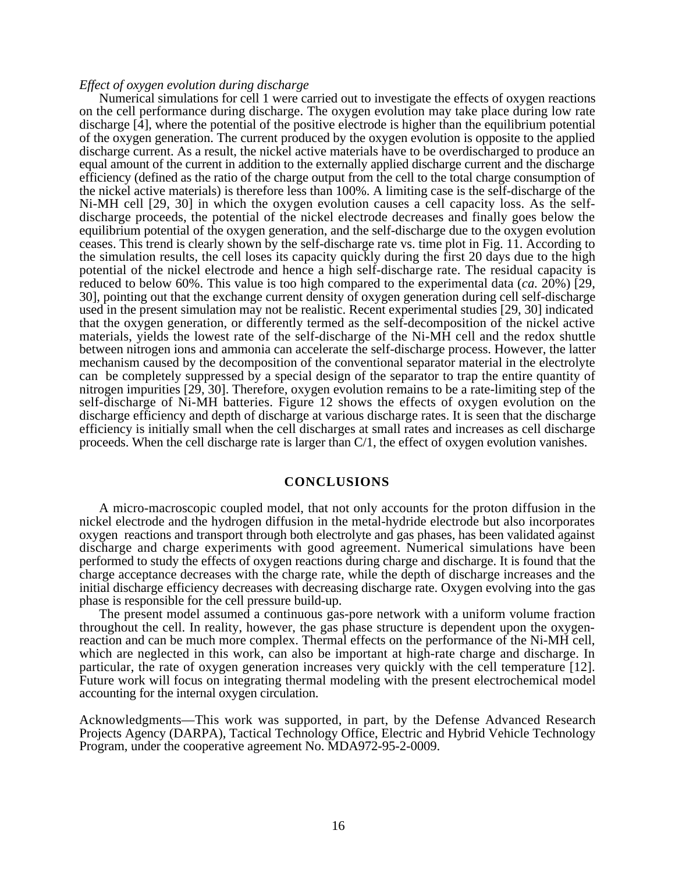### *Effect of oxygen evolution during discharge*

Numerical simulations for cell 1 were carried out to investigate the effects of oxygen reactions on the cell performance during discharge. The oxygen evolution may take place during low rate discharge [4], where the potential of the positive electrode is higher than the equilibrium potential of the oxygen generation. The current produced by the oxygen evolution is opposite to the applied discharge current. As a result, the nickel active materials have to be overdischarged to produce an equal amount of the current in addition to the externally applied discharge current and the discharge efficiency (defined as the ratio of the charge output from the cell to the total charge consumption of the nickel active materials) is therefore less than 100%. A limiting case is the self-discharge of the Ni-MH cell [29, 30] in which the oxygen evolution causes a cell capacity loss. As the selfdischarge proceeds, the potential of the nickel electrode decreases and finally goes below the equilibrium potential of the oxygen generation, and the self-discharge due to the oxygen evolution ceases. This trend is clearly shown by the self-discharge rate vs. time plot in Fig. 11. According to the simulation results, the cell loses its capacity quickly during the first 20 days due to the high potential of the nickel electrode and hence a high self-discharge rate. The residual capacity is reduced to below 60%. This value is too high compared to the experimental data (*ca.* 20%) [29, 30], pointing out that the exchange current density of oxygen generation during cell self-discharge used in the present simulation may not be realistic. Recent experimental studies [29, 30] indicated that the oxygen generation, or differently termed as the self-decomposition of the nickel active materials, yields the lowest rate of the self-discharge of the Ni-MH cell and the redox shuttle between nitrogen ions and ammonia can accelerate the self-discharge process. However, the latter mechanism caused by the decomposition of the conventional separator material in the electrolyte can be completely suppressed by a special design of the separator to trap the entire quantity of nitrogen impurities [29, 30]. Therefore, oxygen evolution remains to be a rate-limiting step of the self-discharge of Ni-MH batteries. Figure 12 shows the effects of oxygen evolution on the discharge efficiency and depth of discharge at various discharge rates. It is seen that the discharge efficiency is initially small when the cell discharges at small rates and increases as cell discharge proceeds. When the cell discharge rate is larger than C/1, the effect of oxygen evolution vanishes.

## **CONCLUSIONS**

A micro-macroscopic coupled model, that not only accounts for the proton diffusion in the nickel electrode and the hydrogen diffusion in the metal-hydride electrode but also incorporates oxygen reactions and transport through both electrolyte and gas phases, has been validated against discharge and charge experiments with good agreement. Numerical simulations have been performed to study the effects of oxygen reactions during charge and discharge. It is found that the charge acceptance decreases with the charge rate, while the depth of discharge increases and the initial discharge efficiency decreases with decreasing discharge rate. Oxygen evolving into the gas phase is responsible for the cell pressure build-up.

The present model assumed a continuous gas-pore network with a uniform volume fraction throughout the cell. In reality, however, the gas phase structure is dependent upon the oxygenreaction and can be much more complex. Thermal effects on the performance of the Ni-MH cell, which are neglected in this work, can also be important at high-rate charge and discharge. In particular, the rate of oxygen generation increases very quickly with the cell temperature [12]. Future work will focus on integrating thermal modeling with the present electrochemical model accounting for the internal oxygen circulation.

Acknowledgments—This work was supported, in part, by the Defense Advanced Research Projects Agency (DARPA), Tactical Technology Office, Electric and Hybrid Vehicle Technology Program, under the cooperative agreement No. MDA972-95-2-0009.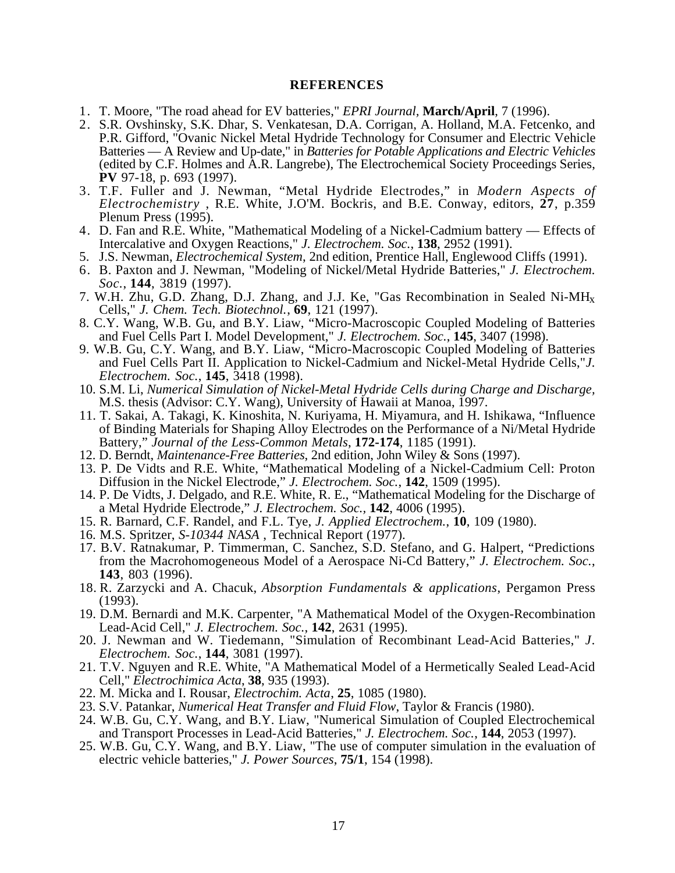# **REFERENCES**

- 1. T. Moore, "The road ahead for EV batteries," *EPRI Journal,* **March/April**, 7 (1996).
- 2. S.R. Ovshinsky, S.K. Dhar, S. Venkatesan, D.A. Corrigan, A. Holland, M.A. Fetcenko, and P.R. Gifford, "Ovanic Nickel Metal Hydride Technology for Consumer and Electric Vehicle Batteries — A Review and Up-date," in *Batteries for Potable Applications and Electric Vehicles* (edited by C.F. Holmes and A.R. Langrebe), The Electrochemical Society Proceedings Series, **PV** 97-18, p. 693 (1997).
- 3. T.F. Fuller and J. Newman, "Metal Hydride Electrodes," in *Modern Aspects of Electrochemistry* , R.E. White, J.O'M. Bockris, and B.E. Conway, editors, **27**, p.359 Plenum Press (1995).
- 4. D. Fan and R.E. White, "Mathematical Modeling of a Nickel-Cadmium battery Effects of Intercalative and Oxygen Reactions," *J. Electrochem. Soc.*, **138**, 2952 (1991).
- 5. J.S. Newman, *Electrochemical System*, 2nd edition, Prentice Hall, Englewood Cliffs (1991).
- 6. B. Paxton and J. Newman, "Modeling of Nickel/Metal Hydride Batteries," *J. Electrochem. Soc.*, **144**, 3819 (1997).
- 7. W.H. Zhu, G.D. Zhang, D.J. Zhang, and J.J. Ke, "Gas Recombination in Sealed Ni-MHx Cells," *J. Chem. Tech. Biotechnol.*, **69**, 121 (1997).
- 8. C.Y. Wang, W.B. Gu, and B.Y. Liaw, "Micro-Macroscopic Coupled Modeling of Batteries and Fuel Cells Part I. Model Development," *J. Electrochem. Soc.*, **145**, 3407 (1998).
- 9. W.B. Gu, C.Y. Wang, and B.Y. Liaw, "Micro-Macroscopic Coupled Modeling of Batteries and Fuel Cells Part II. Application to Nickel-Cadmium and Nickel-Metal Hydride Cells,"*J. Electrochem. Soc.*, **145**, 3418 (1998).
- 10. S.M. Li, *Numerical Simulation of Nickel-Metal Hydride Cells during Charge and Discharge,* M.S. thesis (Advisor: C.Y. Wang), University of Hawaii at Manoa, 1997.
- 11. T. Sakai, A. Takagi, K. Kinoshita, N. Kuriyama, H. Miyamura, and H. Ishikawa, "Influence of Binding Materials for Shaping Alloy Electrodes on the Performance of a Ni/Metal Hydride Battery," *Journal of the Less-Common Metals*, **172-174**, 1185 (1991).
- 12. D. Berndt, *Maintenance-Free Batteries*, 2nd edition, John Wiley & Sons (1997).
- 13. P. De Vidts and R.E. White, "Mathematical Modeling of a Nickel-Cadmium Cell: Proton Diffusion in the Nickel Electrode," *J. Electrochem. Soc.*, **142**, 1509 (1995).
- 14. P. De Vidts, J. Delgado, and R.E. White, R. E., "Mathematical Modeling for the Discharge of a Metal Hydride Electrode," *J. Electrochem. Soc.,* **142**, 4006 (1995).
- 15. R. Barnard, C.F. Randel, and F.L. Tye, *J. Applied Electrochem.*, **10**, 109 (1980).
- 16. M.S. Spritzer, *S-10344 NASA* , Technical Report (1977).
- 17. B.V. Ratnakumar, P. Timmerman, C. Sanchez, S.D. Stefano, and G. Halpert, "Predictions from the Macrohomogeneous Model of a Aerospace Ni-Cd Battery," *J. Electrochem. Soc.*, **143**, 803 (1996).
- 18. R. Zarzycki and A. Chacuk, *Absorption Fundamentals & applications*, Pergamon Press (1993).
- 19. D.M. Bernardi and M.K. Carpenter, "A Mathematical Model of the Oxygen-Recombination Lead-Acid Cell," *J. Electrochem. Soc.*, **142**, 2631 (1995).
- 20. J. Newman and W. Tiedemann, "Simulation of Recombinant Lead-Acid Batteries," *J. Electrochem. Soc.*, **144**, 3081 (1997).
- 21. T.V. Nguyen and R.E. White, "A Mathematical Model of a Hermetically Sealed Lead-Acid Cell," *Electrochimica Acta*, **38**, 935 (1993).
- 22. M. Micka and I. Rousar, *Electrochim. Acta*, **25**, 1085 (1980).
- 23. S.V. Patankar, *Numerical Heat Transfer and Fluid Flow*, Taylor & Francis (1980).
- 24. W.B. Gu, C.Y. Wang, and B.Y. Liaw, "Numerical Simulation of Coupled Electrochemical and Transport Processes in Lead-Acid Batteries," *J. Electrochem. Soc.*, **144**, 2053 (1997).
- 25. W.B. Gu, C.Y. Wang, and B.Y. Liaw, "The use of computer simulation in the evaluation of electric vehicle batteries," *J. Power Sources*, **75/1**, 154 (1998).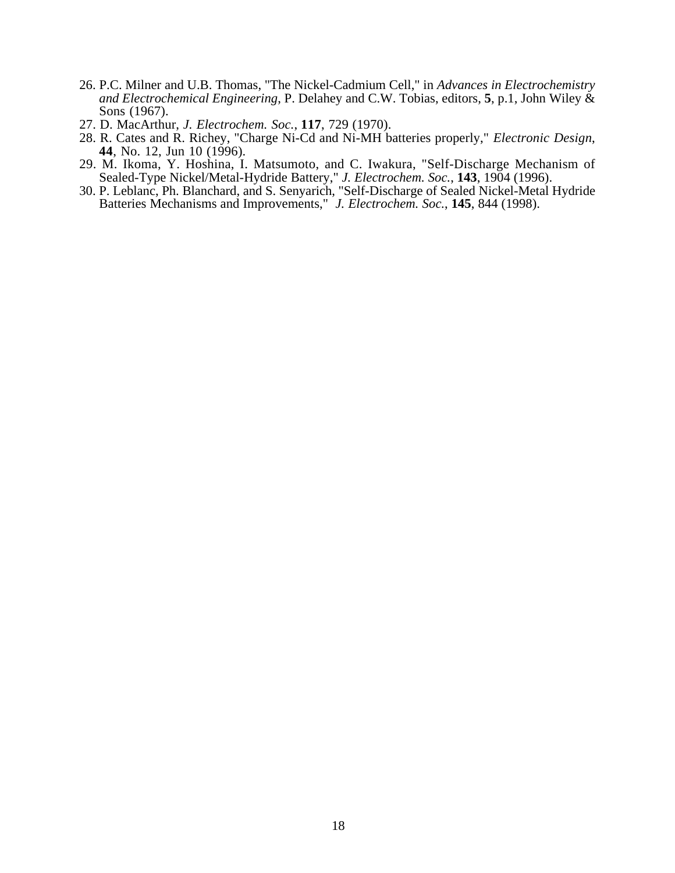- 26. P.C. Milner and U.B. Thomas, "The Nickel-Cadmium Cell," in *Advances in Electrochemistry and Electrochemical Engineering*, P. Delahey and C.W. Tobias, editors, **5**, p.1, John Wiley & Sons (1967).
- 27. D. MacArthur, *J. Electrochem. Soc.*, **117**, 729 (1970).
- 28. R. Cates and R. Richey, "Charge Ni-Cd and Ni-MH batteries properly," *Electronic Design*, **44**, No. 12, Jun 10 (1996).
- 29. M. Ikoma, Y. Hoshina, I. Matsumoto, and C. Iwakura, "Self-Discharge Mechanism of Sealed-Type Nickel/Metal-Hydride Battery," *J. Electrochem. Soc.*, **143**, 1904 (1996).
- 30. P. Leblanc, Ph. Blanchard, and S. Senyarich, "Self-Discharge of Sealed Nickel-Metal Hydride Batteries Mechanisms and Improvements," *J. Electrochem. Soc.*, **145**, 844 (1998).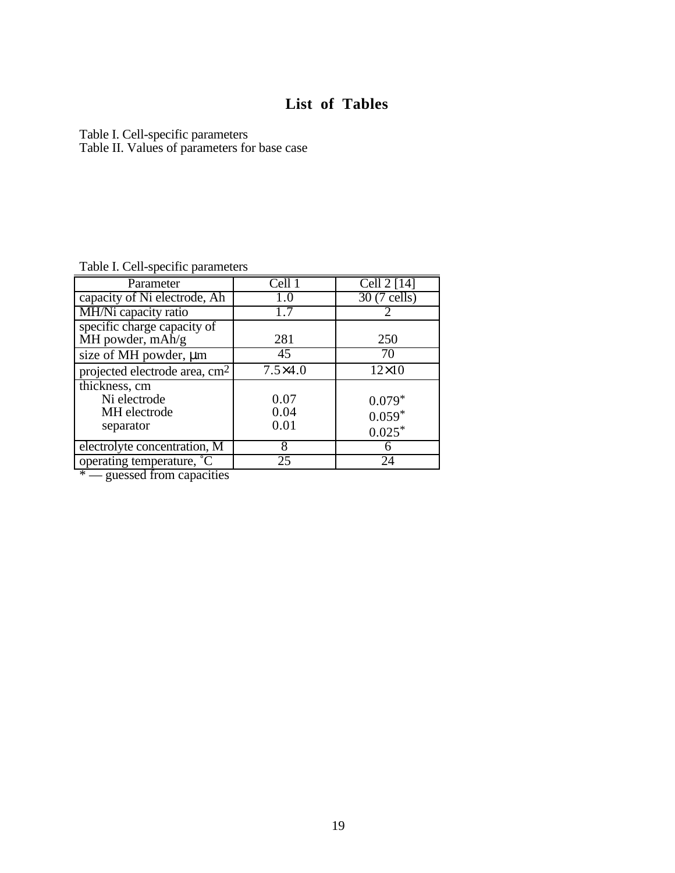# **List of Tables**

Table I. Cell-specific parameters Table II. Values of parameters for base case

Table I. Cell-specific parameters

| Parameter                                                  | Cell 1               | Cell $2$ [14]                    |
|------------------------------------------------------------|----------------------|----------------------------------|
| capacity of Ni electrode, Ah                               | 1.0                  | $\overline{30}$ (7 cells)        |
| MH/Ni capacity ratio                                       |                      |                                  |
| specific charge capacity of<br>MH powder, $mAh/g$          | 281                  | 250                              |
| size of MH powder, µm                                      | 45                   | 70                               |
| projected electrode area, cm <sup>2</sup>                  | $7.5\times4.0$       | $12\times10$                     |
| thickness, cm<br>Ni electrode<br>MH electrode<br>separator | 0.07<br>0.04<br>0.01 | $0.079*$<br>$0.059*$<br>$0.025*$ |
| electrolyte concentration, M                               | 8                    | h                                |
| operating temperature, °C                                  | 25                   | 24                               |

 $*$  — guessed from capacities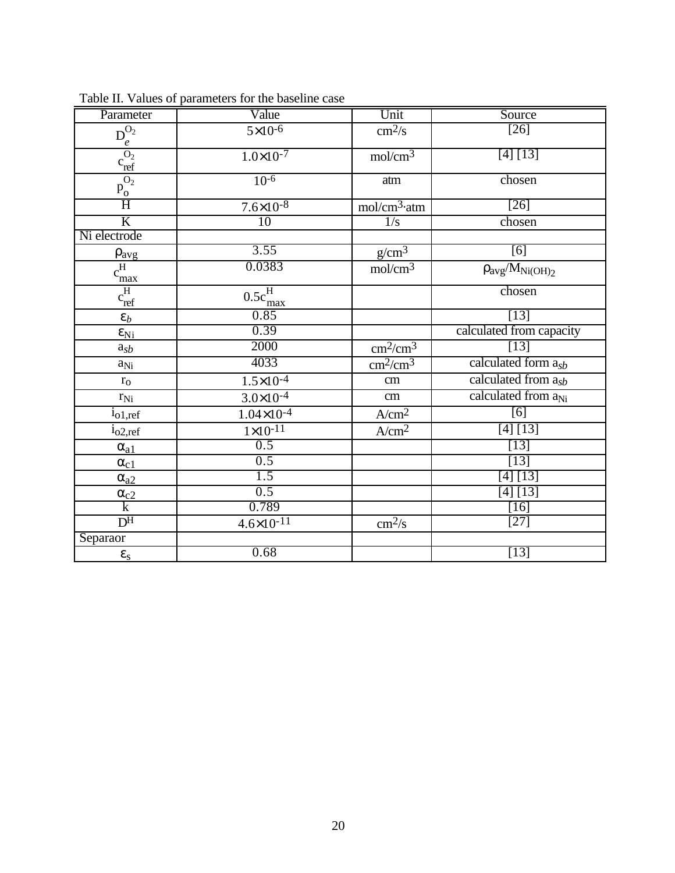| Parameter                                    | Value                              | Unit                      | Source                          |  |
|----------------------------------------------|------------------------------------|---------------------------|---------------------------------|--|
|                                              | $5\times10^{-6}$                   | $\text{cm}^2/\text{s}$    | $\overline{[26]}$               |  |
| $\frac{\overline{D_e^{O_2}}}{c_{ref}^{O_2}}$ | $1.0 \times 10^{-7}$               | mol/cm <sup>3</sup>       | [4] [13]                        |  |
| $\frac{\overline{O_2}}{\underline{P_0}}$     | $10^{-6}$                          | atm                       | chosen                          |  |
| $\overline{H}$                               | $7.6 \times 10^{-8}$               | mol/cm <sup>3</sup> ·atm  | $[26]$                          |  |
| $\overline{\mathbf{K}}$                      | $\overline{10}$                    | $\frac{1}{s}$             | chosen                          |  |
| Ni electrode                                 |                                    |                           |                                 |  |
|                                              | 3.55                               | $g/cm^3$                  | [6]                             |  |
| $\frac{\rho_{avg}}{c_{max}^H}$<br>max        | 0.0383                             | mol/cm <sup>3</sup>       | $\rho_{avg}/M_{Ni(OH)_2}$       |  |
| $c_{ref}^H$                                  | $0.5c_{\mathrm{max}}^{\mathrm{H}}$ |                           | chosen                          |  |
| $\varepsilon_b$                              | 0.85                               |                           | $[13]$                          |  |
| $\epsilon_{\rm Ni}$                          | 0.39                               |                           | calculated from capacity        |  |
| $a_{sb}$                                     | 2000                               | $\text{cm}^2/\text{cm}^3$ | $[13]$                          |  |
| $a_{Ni}$                                     | 4033                               | $\text{cm}^2/\text{cm}^3$ | calculated form $a_{sb}$        |  |
| $r_{\rm o}$                                  | $1.5 \times 10^{-4}$               | cm                        | calculated from a <sub>sb</sub> |  |
| $r_{Ni}$                                     | $3.0 \times 10^{-4}$               | cm                        | calculated from a <sub>Ni</sub> |  |
| $i_{o1,ref}$                                 | $1.04 \times 10^{-4}$              | A/cm <sup>2</sup>         | [6]                             |  |
| 1 <sub>02,ref</sub>                          | $\frac{1}{1} \times 10^{-11}$      | A/cm <sup>2</sup>         | [4] [13]                        |  |
| $\alpha_{a1}$                                | 0.5                                |                           | $[13]$                          |  |
| $\alpha_{c1}$                                | 0.5                                |                           | $[13]$                          |  |
| $\alpha_{a2}$                                | $\overline{1.5}$                   |                           | [4] [13]                        |  |
| $\frac{\alpha_{c2}}{k}$                      | 0.5                                |                           | [4] [13]                        |  |
|                                              | 0.789                              |                           | $[16]$                          |  |
| D <sup>H</sup>                               | $4.6 \times 10^{-11}$              | cm <sup>2</sup> /s        | $[27]$                          |  |
| Separaor                                     |                                    |                           |                                 |  |
| $\boldsymbol{\epsilon}_s$                    | 0.68                               |                           | $[13]$                          |  |

Table II. Values of parameters for the baseline case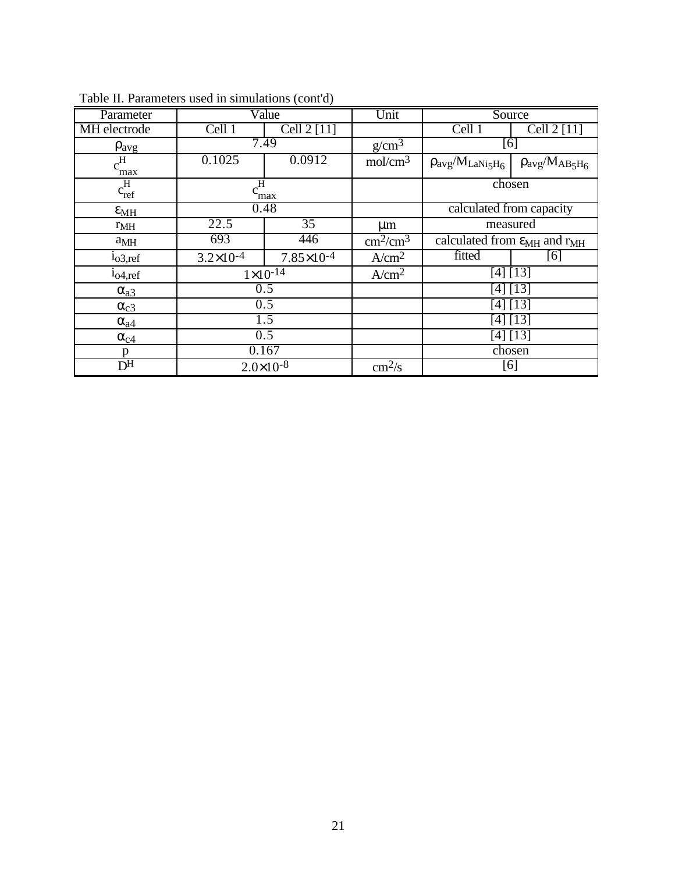|                                            |                      | $\sqrt{2}$             |                           |                                                 |                          |
|--------------------------------------------|----------------------|------------------------|---------------------------|-------------------------------------------------|--------------------------|
| Parameter                                  | Value                |                        | Unit                      | Source                                          |                          |
| <b>MH</b> electrode                        | Cell 1               | Cell $2$ [11]          |                           | Cell 1                                          | Cell 2 [11]              |
| $\rho_{avg}$                               | 7.49                 |                        | g/cm <sup>3</sup>         | [6]                                             |                          |
| $c_{\frac{max}{}}$                         | 0.1025               | 0.0912                 | mol/cm <sup>3</sup>       | $\rho_{avg}/M_{LaNi5H_6}$                       | $\rho_{avg}/M_{AB_5H_6}$ |
| $\overline{c_{ref}^H}$                     | $c^{\rm H}$<br>max   |                        |                           | chosen                                          |                          |
| $\varepsilon_{MH}$                         | 0.48                 |                        |                           | calculated from capacity                        |                          |
| r <sub>MH</sub>                            | 22.5                 | $\overline{35}$        | $\mu$ m                   | measured                                        |                          |
| $a_{MH}$                                   | 693                  | 446                    | $\text{cm}^2/\text{cm}^3$ | calculated from $\varepsilon_{MH}$ and $r_{MH}$ |                          |
| 1 <sub>0</sub> 3, ref                      | $3.2 \times 10^{-4}$ | $7.85 \times 10^{-4}$  | A/cm <sup>2</sup>         | fitted                                          | [6]                      |
| 1 <sub>04,ref</sub>                        |                      | $1 \times 10^{-14}$    | A/cm <sup>2</sup>         |                                                 | [4] [13]                 |
| $\alpha_{a3}$                              | 0.5                  |                        |                           | $[4] [1\overline{3}]$                           |                          |
| $\alpha_{c3}$                              | 0.5                  |                        |                           | [4] [13]                                        |                          |
| $\alpha_{a4}$                              | 1.5                  |                        |                           | [4] [13]                                        |                          |
| $\alpha_{c4}$                              | 0.5                  |                        |                           | [4] [13]                                        |                          |
| p                                          | 0.167                |                        |                           | chosen                                          |                          |
| $\overline{D^{H}}$<br>$2.0 \times 10^{-8}$ |                      | $\text{cm}^2/\text{s}$ | [6]                       |                                                 |                          |

Table II. Parameters used in simulations (cont'd)